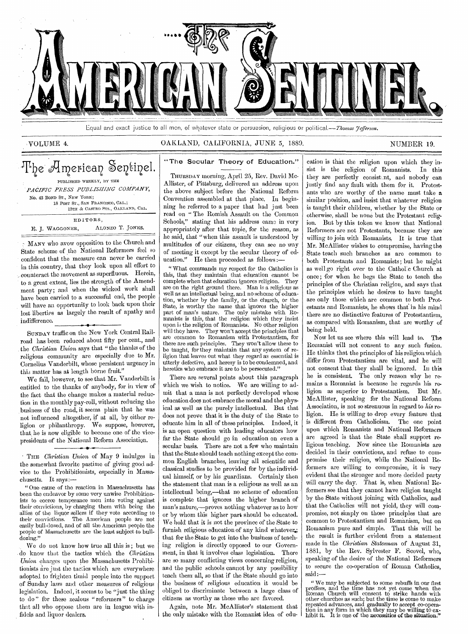

Equal and exact justice to all men, of whatever state or persuasion, religious or political.--Thomas *Jefferson*.

### VOLUME 4. OAKLAND, CALIFORNIA, JUNE 5, 1889. NUMBER 19.

## The American Sentinel.  $\,$ PUBLISHED WEEKLY, BY THE *PACIFIC PPESS PUBLISHING COMPANY,*

NO. 43 BOND ST., NEW YORK; 18 POST ST., SAN FRANCISCO, CAL.; 12TH & CASTRO STS., OAKLAND, CAL. EDITORS, E. J. WAGGONER, ALONZO T. JONES.

MANY who avow opposition to the Church and State scheme of the National Reformers feel so confident that the measure can never be carried in this country, that they look upon all effort to , counteract the movement as superfluous. Herein, to a great extent, lies the strength of the Amendment party; and when the wicked work shall have been carried to a successful end, the people will have an opportunity to look back upon their lost liberties as largely the result of apathy and indifference.

SUNDAY traffic on the New York Central Railroad has been reduced about fifty per cent., and . the *Christian Union* says that "the thanks of the religious community are especially due to Mr. Cornelius Vanderbilt, whose persistent urgency in this matter has at length borne fruit."

We fail, however, to see that Mr. Vanderbilt is entitled to the thanks of anybody, for in view of the fact that the change makes a material reduction in the monthly pay-roll, without reducing the business of the road, it seems plain that he was not influenced altogether, if at all, by either religion or philanthropy. We suppose, however, that, he is now eligible to become one of the vicepresidents of the National Reform Association.

• THE *Christian Union* of May 9 indulges in the somewhat favorite pastime of giving good advice to the Prohibitionists, especially in Massachusetts. It says:—

" One cause of the reaction in Massachusetts has been the endeavor by some very unwise Prohibitionists to coerce temperance men into voting against their convictions, by charging them with being the allies of the liquor sellers if they vote according to their convictions. The American people are not their convictions. The American people are not easily bull-dozed, and of all the American people the people of Massachusetts are the least subject to bulldozing."

We do not know how true all this is ; but we . do know that the tactics which the *Christian Union* charges upon the Massachusetts Prohibitionists are just the tactics which are everywhere adopted to frighten timid people into the support of Sunday laws and other measures of religious legislation. Indeed, it seems to be "just the thing to do" for these zealous "reformers" to charge that all who oppose them are in league with infidels and liquor dealers.

### "The Secular Theory of Education."

THURSDAY morning, April 25, Rev. David Mc-Allister, of Pittsburg, delivered an address upon the above subject before the National Reform Convention assembled at that place. In beginning he referred to a paper that had just been read on " The Romish Assault on the Common Schools," stating that his address came in very appropriately after that topic, for the reason, as he said, that "when this assault is understood by multitudes of our citizens, they can see no way of meeting it except by the secular theory of education." He then proceeded as follows :-

" What commands my respect for the Catholics is this, that they maintain that education cannot be complete when that education ignores religion. They are on the right ground there. Man is a religious as well as an intellectual being, and no scheme of education, whether by the family, or the church, or the State, is worthy the name that ignores the higher part of man's nature. The only mistake with Romanists is this, that the religion which they insist upon is the religion of Romanists. No other religion will they have. They won't accept the principles that are common to Romanism with Protestantism, for there are such principles. They won't allow these to be taught, for they maintain that any system of religion that leaves out what they regard as essential is utterly defective, and heresy is to be condemned, and heretics who embrace it are to be persecuted."

There are several points about this paragraph which we wish to notice. We are willing to admit that a man is not perfectly developed whose education does not embrace the moral and the physical as well as the purely intellectual. But that does not prove that it is the duty of the State to educate him in all of these principles. Indeed, it is an open question with leading educators how far the State should go in education on even a secular basis. There are not a few who maintain that the State should teach nothing except the common English branches, leaving all scientific and classical studies to be provided for by the individual himself, or by his guardians. Certainly then the statement that man is a religious as well as an intellectual being,—that no scheme of education is complete that ignores the higher branch of man's nature,—proves nothing whatever as to how or by whom this higher part should be educated. We hold that it is not the province of the State to furnish religious education of any kind whatever.; that for the State to get into the business of teaching religion is directly opposed to our Government, in that it involves class legislation. There are so many conflicting views concerning religion, and the public schools cannot by any possibility teach them all, so that if the State should go into the business of religious education it would be obliged to discriminate between a large class of citizens as worthy as those who are favored.

Again, note Mr. McAllister's statement that the only mistake with the Romanist idea of education is that the religion upon which they insist is the religion of Romanists. In this they are perfectly consistent, and nobody can justly find any fault with them for it. Protestants who are worthy of the name must take a similar position, and insist that whatever religion is taught their children, whether by the State or otherwise, shall be none but the Protestant religion. But by this token we know that National Reformers are not Protestants, because they are willing to join with Romanists. It is true that Mr. McAllister wishes to compromise, having the State teach such branches as are common to both Protestants and Romanists; but he might as well go right over to the Cathol:c Church at once; for when he begs the State to teach the principles of the Christian religion, and says that the principles which he desires to have taught are only those which are common to both Protestants and Romanists, he shows that' in his mind there are no distinctive features of Protestantism, as compared with Romanism, that are worthy of being held.

Now let us see where this will lead to. The Romanist will not consent to any such fusion. He thinks that the principles of his religion which differ from Protestantism are vital, and he will not consent that they shall be ignored. In this he is consistent. The only reason why he remains a Romanist is because he regards his religion as superior to Protestantism. But Mr. McAllister, speaking for the National Reform Association, is not so strenuous in regard to *his* religion. He is willing to drop every feature that is different from Catholicism. The one point upon which Romanists and National Reformers are agreed is that the State shall support religious teaching. Now since the Romanists are decided in their convictions, and refuse to compromise their religion, while the National Reformers are willing to compromise, it is very evident that the stronger and more decided party will carry the day. That is, when National Reformers see that they cannot have religion taught by the State without joining with Catholics, and that the Catholics will not yield, they will compromise, not simply on those principles that are common to Protestantism and Romanism, but on Romanism pure and simple. That this will be the result is further evident from a statement made in the *Christian Statesman* of August 31, 1881, by the. Rev. Sylvester F. Scovel, who, speaking of the desire of the National Reformers to secure the co-operation of Roman Catholics, said:—

"We may be subjected to some rebuffs in our first<br>proffers, and the time has not yet come when the<br>Roman Church will consent to strike hands with<br>other churches as such; but the time is come to make<br>repeated advances, and tion in any form in which they may be willing to ex-hibit it. It is one of the necessities of the Situation."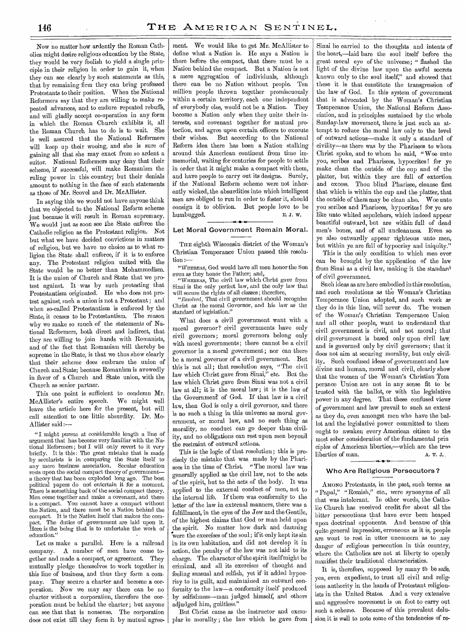Now no matter how ardently the Roman Catholics might desire religious education by the State, they would be very foolish to yield a single principle in their religion in order to gain it, when they can see clearly by such statements as this, that by remaining firm they can bring professed Protestants to their position. When the National Reformers say that they are willing to make repeated advances, and to endure repeated rebuffs, and will gladly accept co-operation in any form in which the Roman Church exhibits it, all the Roman Church has to do is to wait. She is well assured that the National Reformers will keep up their wooing, and she is sure of gaining all that she may exact from so ardent a suitor. National Reformers may deny that their scheme, if successful, will make Romanism the ruling power in this country; but their denials amount to nothing in the face of such statements as those of Mr. Scovel and Dr. McAllister.

In saying this we would not have anyone think that we objected to the National Reform scheme just because it will result in Roman supremacy. We would just as soon see the State enforce the Catholic religion as the Protestant religion. Not but what we have decided convictions in matters of religion, but we have no choice as to what religion the State shall enforce, if it is to enforce any. The Protestant religion united with the State would be no better than Mohammedism. It is the union of Church and State that we protest against. It • was by such protesting that Protestantism originated. He who does not protest against, such a union is not a Protestant ; and when so-called Protestantism is enforced by the State, it ceases to be Protestantism. The reason why we make so much of the statements of National Reformers, both direct and indirect, that they are willing to join hands with Romanists, and of the fact that Romanism will thereby be supreme in the State, is that we thus show clearly that their scheme does embrace the union of Church and State; because Romanism is avowedly in favor of a Church and State union, with the Church as senior partner.

This one point is sufficient to condemn Mr. McAllister's entire speech. We might well leave the article here for the present, but will call attention to one little absurdity. Dr. Mc-Allister said :—

" I might pursue at considerable length a line of argument that has become very familiar with the National Reformers ; but I will only revert to it very briefly. It is this: The great mistake that is made by secularists is in comparing the State itself to any mere business association. Secular education rests upon the social compact theory of government a theory that has been exploded long ago. The best political papers do not entertain it for a moment. There is something back of the social compact theory. Men come together and make a covenant, and there is a compact. You cannot have a compact without the Nation, and there must be a Nation behind the compact. It is the Nation itself that makes the compact. The duties of government are laid upon it. Here is the being that is to undertake the work of education."

Let us make a parallel. Here is a railroad company. A number of men have come together and made a compact, or agreement. They mutually pledge themselves to work together in this line of business, and thus they form a company. They secure a charter and become a corporation. Now we may say there can be no charter without a corporation, therefore the corporation must be behind the charter ; hut anyone can see .that that is nonsense. The corporation does not exist till they form it by mutual agree-

ment. We would like to get Mr. McAllister to define what a Nation is. He says a Nation is there before the compact, that there must be a Nation behind the compact. But a Nation is not a mere aggregation of individuals, although there can be no Nation without people. Ten million people thrown together promiscuously within a certain territory, each one independent of everybody else, would not be a Nation. They become a Nation only when they unite their interests, and covenant together for mutual protection, and agree upon certain officers to execute their wishes. But according to the National Reform idea there has been a Nation stalking around this American continent from time immemorial, waiting for centuries for people to settle in order that it might make a compact with them, and have people to carry out its designs. Surely, if the National Reform scheme were not inherently wicked, the absurdities into which intelligent men are obliged to run in order to foster it, should consign it to oblivion. But people love to be humbugged. E. J. W. *<sup>N</sup>***•** d.

### Let Moral Government Remain Moral.

THE eighth Wisconsin district of the Woman's Christian Temperance Union passed this resolution :—

"WHEREAS, God would have all men honor the Son even as they honor the Father; and,

"WHEREAS, The civil law which Christ gave from Sinai is the only perfect law, and the only law that will secure the rights of all classes; therefore,

*"Resolved,* That civil government should recognize Christ as the moral Governor, and his law as the standard of legislation."

What does a civil government want with a moral governor? civil governments have only civil governors; moral governors belong only with moral governments; there cannot be a civil governor in a moral government; nor can there be a moral governor of a civil government. . But this is not all; that resolution says, "The civil law which Christ gave from Sinai," etc. But the law which Christ gave from Sinai was not a civil law at all; it is the moral law ; it is the law of the Government' of God. If that law is a civil law, then God is only a civil governor, and there is no such a thing in this universe as naoral government, or moral law, and no such thing as morality, no conduct can go deeper than civility, and no obligations can rest upon men beyond the restraint of outward actions.

This is the logic of that resolution; this is precisely the mistake that was made by the Pharisees in the time of Christ. "The moral law was generally applied as the civil law, not to the acts of the spirit, but to the acts of the body. It was applied to the external conduct of men, not to the internal life. If there was conformity to the letter of the law in external manners, there was a fulfillment, in the eyes of the Jew and the Gentile, of the highest claims that God or man held upon the spirit. No matter how dark and damning were the exercises of the soul; if it only kept its sin in its own habitation, and did not develop it in action, the penalty of the law was not laid to its charge. The character of the spirit itself might be criminal, and all its exercises of thought and feeling sensual and selfish, yet if it added hypocrisy to its guilt, and maintained an outward conformity to the law—a conformity itself produced by selfishness—man judged himself, and others adjudged him, guiltless."

But Christ came as the instructor and exemplar in morality ; the law which he gave from

Sinai he carried to the thoughts and intents of the heart,—laid bare the soul itself before the great moral eye of the universe; " flashed the light of the divine law upon the awful secrets known only to the soul itself," and showed that these it is that constitute the transgression of the law of God. In this system of government that is advocated by the Woman's Christian Temperance Union, the National Reform Association, and in principles sustained by the whole Sunday-law movement, there is just such an attempt to reduce the moral law only to the level of outward actions—make it only a standard of civility—as there was by the Pharisees to whom Christ spoke, and to whom he said, "Woe unto you, scribes and Pharisees, hypocrites! for ye make clean the outside of the cup and of the platter, but within they are full of extortion and excess. Thou blind Pharisee, cleanse first that which is within the cup and the platter, that the outside of them may be clean also. Woe unto you scribes and Pharisees, hypocrites ! for ye are like unto whited sepulchers, which indeed appear beautiful outward, but are within full of dead men's bones, and of all uncleanness. Even so ye also outwardly appear righteous unto men, but within ye. are full of hypocrisy and iniquity."

This is the only condition to which men ever can be brought by the application of the law from Sinai as a civil law, making it the standard of civil government.

Such ideas as are here embodied in this resolution, and such resolutions as the Woman's Christian Temperance Union adopted, and such work as they do in this line, will never do. The women of the Woman's Christian Temperance Union and all other people, want to understand that civil government is civil, and not moral ; that civil government is based only upon civil law. and is governed only by civil governors ; that it does not aim at securing morality, but only civility. Such confused ideas of government and law divine and human, moral and civil, clearly show that the women of the Woman's Christian Tem perance Union are not in any sense fit to be trusted with the ballot, or with the legislative power in any degree. That these confused views of government and law prevail to such an extent as they do, even amongst men who have the ballot and the legislative power committed to them ought to awaken every American citizen to the most sober consideration of the fundamental prin ciples of American liberties,—which are the trwe liberties of man. A. T. J. 4. • 1.

### Who Are Religious Persecutors?

AMONG Protestants, in the past, such terms as " Papal," "Romish," etc., were synonyms of all that was intolerant. In other words, the Catholic Church has received credit for about all the bitter persecutions that have ever been heaped upon doctrinal opponents. And because of this quite general impression, erroneous as it is, people are wont to rest in utter unconcern as to any danger of religious persecution in this country, where the Catholics are not at liberty to openly manifest their traditional characteristics.

It is, therefore, supposed by many to be safe, yea, even expedient, to trust all civil and religious authority in the hands of Protestant religionists in the United States. And a very extensive and aggressive movement is on foot to carry out such a scheme. Because of this prevalent delusion it is well to note some of the tendencies of re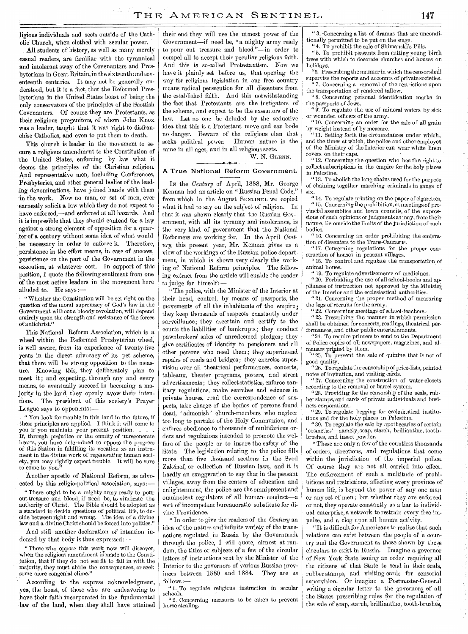ligious individuals and sects outside of the Catholic Church, when clothed with secular power.

All students of history, as well as many merely casual readers, are familiar with the tyrannical and intolerant sway of the Covenanters and Presbyterians in Great Britain, in the sixteenth and seventeenth centuries. It may not be generally understood, but it is a fact, that the Reformed Presbyterians in the United States boast of being the only conservators of the principles of the Scottish Covenanters. Of course they are Protestants, as their religious progenitors, of whom John Knox was a leader, taught that it was right to disfranchise Catholics, and even to put them to death.

This church is leader in the movement to secure a religious amendment to the Constitution of the United States, enforcing by law what it deems the principles of the Christian religion. And representative men, including Conferences, Presbyteries, and other general bodies of the leading denominations, have joined hands with them in the work. Now no man, or set of men, ever earnestly solicit a law which they do not expect to have enforced,—and enforced at all hazards. And it is impossible that they should contend for a law against a strong element of opposition for a quarter of a century without some idea of what would be necessary in order to enforce it. Therefore, persistence in the effort means, in case of success, persistence on the part of the Government in the execution, at whatever cost. In support of this position, I quote the following sentiment from one of the most active leaders in the movement here alluded to. He says:

"Whether the Constitution will be set right on the question of the moral supremacy of God's law in the Government without a bloody revolution, will depend entirely upon the strength and resistance of the forces or antichrist."

This National Reform Association, which is a wheel within the Reformed Presbyterian wheel, is well aware, from its experience of twenty-five years in the direct advocacy of its pet scheme, that there will be strong opposition to the measure, Knowing this, they deliberately plan to meet it; and expecting, through any and every means, to eventually succeed in becoming a majority in the land, they openly avow their intentions. The president of this society's Prayer League says to opponents :—

" You look for trouble in this land in the future, if these principles are applied. I think it will come to you if you maintain your present position. . If, through prejudice or the enmity of unregenerate hearts, you have determined to oppose the progress of this Nation in fulfilling its vocation as an instrument in the divine work of regenerating human society, you may rightly expect trouble. It will be sure to come to you."

Another apostle of National Reform, as advocated by this religio-political association, says:

"There ought to be a mighty army ready to pour out treasure and blood, if need be, to vindicate the authority of Christ. The Bible should be adopted as a standard to decide questions of political life, to decide between right and wrong. The idea of a divine law and a divine Christ should be forced into politics."

And still another declaration of intention indorsed by that body is thus expressed:

" Those who oppose this work now will discover, when the religious amendment is made to the Constitution, that if they do not see fit to fall in with the majority, they must abide the consequences, or seek some more congenial clime."

According to the express acknowledgment, yea, the boast, of those who are endeavoring to have their faith incorporated in the fundamental law of the land, when .they shall have attained their end they will use the utmost power of the Government—if need be, "a mighty army ready to pour out treasure and blood "—in order to compel all to accept their peculiar religious faith. And this is so-called Protestantism. Now we have it plainly set before us, that opening the way for religious legislation in our free country means radical persecution for all dissenters from the established faith. And this notwithstanding the fact that Protestants are the instigators of the scheme, and expect to be the executors of the law. Let no one be deluded by the seductive idea that this is a Protestant move and can bode no danger. Beware of the religious clan that seeks political power. Human nature is the same in all ages, and in all religious sects.

W. N. GLENN.

#### A True National Reform Government.

IN the *Century* of April, 1888, Mr. George Kennan had an article on "Russian Penal Code," from which in the August SENTINEL we copied what it had to say on the subject of religion. In that it was shown clearly that the Russian Government, with all its tyranny and intolerance, is the very kind of government that the National Reformers are working for. In the April *Century,* this present year, Mr. Kennan gives us a view of the workings of the Russian police department, in which is shown very clearly the working of National Reform principles. The following extract from the article will enable the reader to judge for himself:—

"The police, with the Minister of the Interior at their head, control, by means of passports, the movements of all the inhabitants of the empire; they keep thousands of suspects constantly under surveillance; they ascertain and certify to the courts the liabilities of bankrupts; they conduct pawnbrokers' sales of unredeemed pledges; they give certificates of identity to pensioners and all other persons who need them; they superintend repairs of roads and bridges; they exercise supervision over all theatrical performances, concerts, tableaux, theater programs, posters, and street advertisements; they collect statistics, enforce sanitary regulations, make searales and seizures in private houses, read the correspondence of suspects, take charge of the bodies of persons found dead, ' admonish' church-members who neglect too long to partake of the Holy Communion, and enforce obedience to thousands of multifarious orders and regulations intended to promote the welfare of the people or to insure the safety of the State. The legislation relating to the police fills more than five thousand sections in the Svod Zakónof, or collection of Russian laws, and it is hardly an exaggeration to say that in the peasant villages, away from the centers of education and enlightenment, the police are the omnipresent and omnipotent regulators of all human conductsort of incompetent bureaucratic substitute for divine Providence.

" In order to give the readers of the *Century* an idea of the nature and infinite variety of the transactions regulated in Russia by the Government through the police, I will quote, almost at random, the titles or subjects of a few of the circular letters of instructions sent by the Minister of the Interior to the governors of various Russian prov-<br>inces between 1880 and 1884. They are as inces between 1880 and 1884. follows :—

" 1. To regulate religious instruction in secular schools.

" 2. Concerning measures to be taken to prevent horse stealing.

" 3. .Concerning a list of dramas that are unconditionally permitted to be put on the stage.

4. To prohibit the sale of Shimanski's Pills. " 5. To prohibit peasants from cutting young birch trees with which to decorate churches and houses on holidays.

"6. Prescribing the manner in which the censor shall supervise the reports and accounts of private societies. 7. Concerning a removal of the restrictions upon

the transportation of rendered tallow. " 8. Concerning personal identification marks in the passports of Jews.

" 9. To regulate the use of mineral waters by sick or wounded officers of the army.

" 10. Concerning an order for the sale of all grain\_ by weight instead of by measure.

" 11. Setting forth the circumstances under which, and the times at which, the police and other employes of the Ministry of the Interior can wear white linen covers on their caps.

" 12. Concerning the question who has the right to collect subscriptions in the empire for the holy places in Palestine.

" 13. To abolish the long chains used for the purpose of chaining together marching criminals in gangs of six.

" 14. To regulate printing on the paper of cigarettes, " 15. Concerning the prohibition, at meetings of provincial assemblies and town councils, of the expressions of such opinions or judgments as may, from their nature, lie outside the limits of the jurisdiction of such bodies.

" 16. Concerning an order prohibiting the emigration of dissenters to the Trans-Caucasus.

" 17. Concerning regulations for the proper construction of houses in peasant villages.

" 18. To control and regulate the transportation of animal bones.

" 19. To regulate advertisements of medicines.

" 20. Forbidding the use of all school-books and appliances of instruction not approved by the Minister. of the Interior and the ecclesiastical authorities.

" 21. Concerning the proper method of measuring the legs of recruits for the army.

" 22. Concerning meetings of school-teachers.-

" 23. Prescribing the manner in which permission shall be obtained for concerts, readings, theatrical performances, and other public entertainments.

"24. To require printers to send to the Department of Police copies of all newspapers, magazines, and almanacs printed by them.

" 25. To prevent the sale of quinine that is not of good quality.

" 26. To regulate the censorship of price-lists, printed notes of invitation, and visiting cards.

" 27. Concerning the construction of water-closets according to the removal or barrel system.

"28. Providing for the censorship of the seals, rubber stamps, and cards of private individuals and business corporations.

"29. To regulate begging for ecclesiastical institutions and for the holy places in Palestine.

" 30. To regulate the sale by apothecaries of certain cosmetics'—namely, soap, starch, brilliantine, toot hbrushes, and insect powder.

"These are only a few of the countless thousands of orders, directions, and regulations that come within the jurisdiction of the imperial police. Of course they are not all carried into effect. The enforcement of such a multitude of prohibitions and restrictions, affecting every province of human life, is beyond the power of any one man or any set of men ; but whether they are enforced or not, they operate constantly as a bar to individual enterprise, a network to restrain every free impulse, and a clog upon all human activity.

"It is difficult for Americans to realize that such relations can exist between the people of a country and the Government as those shown by these circulars to exist in Russia. Imagine a governor of New York State issuing an order requiring all the citizens of that State to send in their seals, rubber stamps, and visiting cards for censorial supervision. Or imagine a Postmaster-General writing a circular letter to the governors of all the States prescribing rules for the regulation of the sale of soap, starch, brilliantine, tooth-brushes.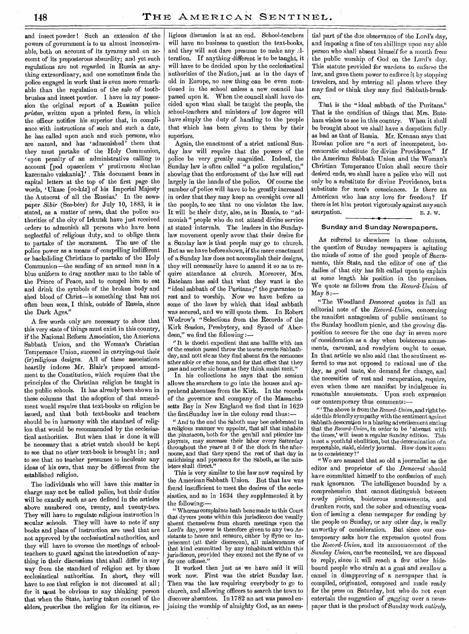and insect powder! Such an extension of the powers of government is to us almost inconceivaable, both on account of its tyranny and on account of its preposterous absurdity; and yet such regulations are not regarded in Russia as anything extraordinary, and one sometimes finds the police engaged in work that is even more remarkable than the regulation of the sale of toothbrushes and insect powder. I have in my possession the original report of a Russian police *pristav,* written upon a printed form, in which the officer notifies his superior that, in compliance with instructions of such and such a date, he has called upon such and such persons, who are named, and has 'admonished' them that they must partake of the Holy Communion, upon penalty of an administrative calling to account [pod opaseniem v' protivnom sluchae kazennaho vziskania].' This document bears in capital letters at the top of the first page the words, 'Ukase [oo-kaz] of his Imperial Majesty the Autocrat of all the Russias.' In the newspaper *Sibir* (See-beer) for July 10, 1883, it is stated, as a matter of news, that the police authorities of the city of Irkutsk have just received orders to admonish all persons who have been neglectful of religious duty, and to oblige them to partake of the sacrament. The use of the police power as a means of compelling indifferent or backsliding Christians to partake of the Holy Communion—the sending of an armed man in a blue uniform to drag another man to the table of the Prince of Peace, and to compel him to eat and drink the symbols of the broken body and shed blood of Christ—is something that has not often been seen, I think, outside of Russia, since the Dark Ages."

A few words only are necessary to show that this very state of things must exist in this country, if the National Reform Association, the American Sabbath Union, and the Woman's Christian Temperance Union, succeed in carrying•out their (ir)religious designs. All of these associations heartily indorse Mr. Blair's proposed amendment to the Constitution, which requires that the principles of the Christian religion be taught in the public schools. It has already been shown in these columns that the adoption of that amendment would require that text-books on religion be issued, and that both text-books and teachers should be in harmony with the standard of religion that would be recommended by the ecclesiastical authorities. But when that is done it will be necessary that a strict watch should be kept to see that no other text-book is brought in ; and to see that no teacher presumes to inculcate any ideas of his own, that may be different from the established religion.

The individuals who will have this matter in charge may not be called police, but their duties will be exactly such as are defined in the articles above numbered one, twenty, and twenty-two. They will have to regulate religious instruction in secular schools. They will have to note if any books and plans of instruction are used that are not approved by the ecclesiastical authorities, and they will have to oversee the meetings of schoolteachers to guard against the introduction of anything in their discussions that shall differ in any way from the standard of religion set by those ecclesiastical authorities. In short, they will have to see that religion is not discussed at all; for it must be obvious to any thinking person that when the State, having taken counsel of the elders, prescribes the religion for its citizens, re-

ligious discussion is at an end. School-teachers will have no business to question the text-books, and they will not dare presume to make any alteration. If anything different is to be taught, it will have to be decided upon by the ecclesiastical authorities of the Nation, just as in the days of old in Europe, no new thing can be even mentioned in the school unless a new council has passed upon it. When the council shall have decided upon what shall be taught the people, the school-teachers and ministers of low degree will have simply the duty of handing to the people that which has been given to them by their superiors.

Again, the enactment of a strict national Sunday law will require that the powers of the police be very greatly magnified. Indeed, the Sunday law is often called "a police regulation," showing that the enforcement of the law will rest largely in the hands of the police. Of course the number of police will have to be greatly increased in order that they may keep an oversight over all the people, to see that no one violates the law. It will be their duty, also, as in Russia, to "admonish" people who do not attend divine service at stated intervals. The leaders in the Sundaylaw movement openly avow that their desire for a Sunday law is that people may go to church. But as we have before shown, if the mere enactment of a Sunday law does not accomplish their designs, they will necessarily have to amend it so as to require attendance at church. Moreover, Mrs. Bateham has said that what they want is the "ideal sabbath of the Puritans;" the guarantee to rest and to worship. Now we have before us some of the laws by which that ideal sabbath was secured, and we will quote them. In Robert Wodrow's "Selections from the Records of the Kirk Session, Presbytery, and Synod of Aberdeen," we find the following :—

" It is thocht expedient that ane baillie with tua of the session passed throw the towne everie Sabbathday, and nott sic as they find absent fra the sermones ather afoir or efter none, and for that effect that they pass and serche sic houss as they think maist meit."

In his collections he says that the session allows the searchers to go into the houses and apprehend absentees from the Kirk. In the records of the governor and company of the Massachusetts Bay in New England we find that in 1629 the first Sunday law in the colony read thus:—

" And to the end the Saboth may bee celebrated in a religious manner we appoint, that all that inhabite the plantacon, both for the gen'all and pticuler imploymts, may surcease their labor every Satterday throughout the yeare at 3 of the clock in the afternoone, and that they spend the rest of that day in catichising and pparacon for the Saboth, as the ministers shall direct."

This is very similar to the law now required by the American Sabbath Union. But that law was found insufficient to meet the desires of the ecclesiastics, and so in 1634 they supplemented it by the following:—

" Whereas complaints hath bene made to this Court that dyvers psons within this jurisdiccon doe vsually absent themselves from church meetings vpon the Lord's day, power is therefore given to any two Assistants to heare and sensure, either by ffyne or imprisonmt (att their discrecon), all misdemeanrs of that kind committed by any inhabitant within this jurisdiccon, provided they exceed not the ffyne of vs for one offense."

It worked then just as we have said it will work now. First was the strict Sunday law. Then was the law requiring everybody to go to church, and allowing officers to search the town to discover absentees. In 1782 an act was passed enjoining the worship of almighty God, as an essential part of the due observance of the Lord's day, and imposing a fine of ten shillings upon any able person who shall absent himself for a month from the public worship of God on the Lord's day. This statute provided for wardens to enforce the law, and gave them power to enforce it by stopping travelers, and by entering all places where they may find or think they may find Sabbath-breakers.

That is the "ideal sabbath of the Puritans." That is the condition of things that Mrs. Bateham wishes to see in this country. When it shall be brought about we shall have a despotism fully as bad as that of Russia. Mr. Kerman says that Russian police are "a sort of incompetent, bureaucratic substitute for divine Providence." If the American Sabbath Union and the Woman's Christian Temperance Union shall secure their desired ends, we shall have a police who will not only be a substitute for divine Providence, but a substitute for men's consciences. Is there an American who has any love for freedom? If there is let him protest vigorously against any such usurpation. E. J. w.

### Sunday and Sunday Newspapers.

As referred to elsewhere in these columns, the question of Sunday newspapers is agitating the minds of some of the good people of Sacramento, this State, and the editor of one of the dailies of that city has felt called upon to explain at some length his position in the premises. We quote as follows from the *Record- Union* of May  $8 -$ 

" The Woodland *Democrat* quotes in full an editorial note of the *Record- Union,* concerning the manifest antagonism of public sentiment to the Sunday hoodlum picnic, and the growing disposition to secure for the one day in seven more of consideration as a day when boisterous amusements, carousal, and rowdyism ought to cease. In that article we also said that the sentiment referred to was not opposed to rational use of the day, as good taste, the demand for change, and the necessities of rest and recuperation, require, even when these are manifest by indulgence in reasonable amusements. Upon such expression our contemporary thus comments:—

" The above is from the *Record- Union,* and right beside this friendly sympathy with the sentiment against Sabbath desecration is a blazing advertisement stating that the *Record-Union*, in order to be 'abreast with the times,' will issue a regular Sunday edition. This the times,' will issue a regular Sunday edition. is not a youthful ebullition, but the determination of a respectable, staid, elderly journal. How does it seem as to consistency?'

"We are amazed that so old a journalist as the editor and proprietor of the *Democrat* should have committed himself to the confession of such rank ignorance. The intelligence bounded by a comprehension that cannot distinguish between rowdy picnics, boisterous amusements, and drunken routs, and the sober and educating vocation of issuing a clean newspaper for reading by the people on Sunday, or any other day, is really unworthy of consideration. But since our contemporary asks how the expression quoted from the *Record-Union,* and its announcement of the Sunday Union, can be reconciled, we are disposed to reply, since it will reach a few other hidebound people who strain at a gnat and swallow a camel in disapproving of a newspaper that is compiled, originated, composed and made ready for the press on Saturday, but who do not even entertain the suggestion of gagging over a newspaper that is the product of Sunday work *entirely,*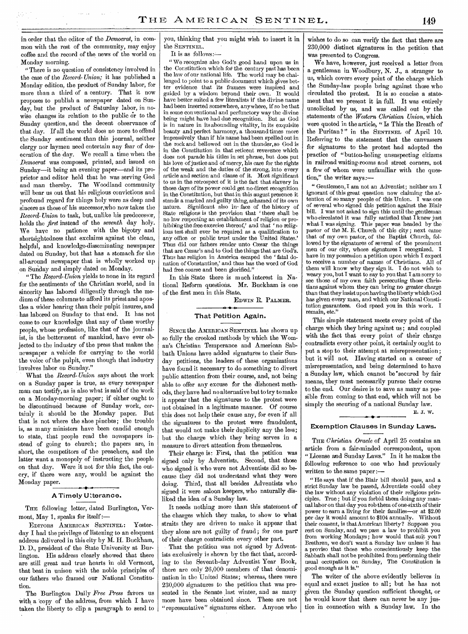in order that the editor of the *Democrat,* in common with the rest of the community, may enjoy coffee and the record of the news of the world on Monday morning.

"There is no question of consistency involved in the case of the *Record- Union;* it has published a Monday edition, the product of Sunday labor, for more than a third of a century. That it now proposes to publish a newspaper dated on Sunday, but the product of Saturday labor, in nowise changes its relation to the public or to the Sunday question, and the decent observance of that day. If all the world does no more to offend the Sunday sentiment than this journal, neither clergy nor laymen need entertain any fear of desecration of the day. We recall a time when the *Democrat* was composed, printed, and issued on Sunday—it being an evening paper—and its proprietor and editor held that he was serving God and man thereby. The Woodland community will bear us out that his religious convictions and profound regard for things holy were as deep and sincere as those of his successor,who now takes the *Record- Union* to task, but, unlike his predecessor, holds the *first* instead of the *seventh* day holy. We have no patience with the bigotry and shortsightedness that exclaims against the clean, helpful, and knowledge-disseminating newspaper dated on Sunday, but that has a stomach for the all-around newspaper that is wholly worked up on Sunday and simply dated on Monday.

" The *Record-Union* yields to none in its regard for the sentiments of the Christian world, and in sincerity has labored diligently through the medium of these columns to afford its priest and apostles a wider hearing than their pulpit insures, and has labored on Sunday to that end. It has not come to our knowledge that any of these worthy people, whose profession, like that of the journalist, is the betterment of mankind, have ever objected to the industry of the press that makes the newspaper a vehicle for carrying to the world the voice of the pulpit, even though that industry involves labor on Sunday."

What the *Record-Union* says about the work on a Sunday paper is true, as every newspaper man can testify, as is also what is said of the work on a Monday-morning paper; if either ought to be discontinued because of Sunday work, certainly it should be the Monday paper. But that is not where the shoe pinches; the trouble is, as many ministers have been candid enough to state, that people read the newspapers instead of going to church; the papers are, in short, the competitors of the preachers, and the latter want a monopoly of instructing the people on -that day. Were it not for this fact, the outcry, if there were any, would be against the Monday paper.

### A Timely Utterance.

THE following letter, dated Burlington, Vermont, May 1, speaks for itself:—

EDITORS AMERICAN SENTINEL: Yesterday I had the privilege of listening to an eloquent address delivered in this city by M. H. Buckham, D. D., president of the State University at Burlington. His address clearly showed that there are still great and true hearts in old Vermont, that beat in unison with the noble principles of our fathers who framed our National Constitution.

The Burlington Daily *Free Press* favors us with a 'copy of the address, from which I have taken the liberty to clip a paragraph to send to

you, thinking that you might wish to insert it in the SENTINEL.

It is as follows:—

" We recognize also God's good hand upon us in the Constitution which for the century past has been the law of our national life. The world may be challenged to point to a public document which gives better evidence that its framers were inspired and guided by a wisdom beyond their own. It would have better suited a few literalists if the divine name had been inserted somewhere, anywhere, if so be that in some conventional and perfunctory way the divine being might have had due recognition. But as God is in nature in its abounding vitality, in its exquisite beauty and perfect harmony, a thousand times more impressively than if his name had been spelled out in the rock and bellowed out in the thunder, so God is in the Constitution in that reticent reverence which does not parade his titles in set phrase, but does put his love of justice and of mercy, his care for the rights of the weak and the duties of the strong, into every article and section and clause of it. Most significant to us in the retrospect of it is the fact that slavery in those days of its power could get no direct recognition in the Constitution, but that in this august presence it stands a marked and guilty thing, ashamed of its own<br>nature. Significant also in face of the history of Significant also in face of the history of State religions is the provision that ' there shall be no law respecting an establishment of religion or prohibiting the free exercise thereof,' and that ' no religious test shall ever be required as a qualification to any office or public trust under the United States.' Thus did our fathers render unto Cæsar the things that are Cæsar's and to God the things that are God's. Thus has religion in America escaped the ' fatal donation of Constantine,' and thus has the word of God had free course and been glorified."

In this State there is much interest in National Reform questions. Mr. Buckham is one of the first men in this State.

EDWIN R. PALMER.

### That Petition Again.

SINCE the AMERICAN SENTINEL has shown up so fully the crooked methods by which the Woman's Christian Temperance and American Sabbath Unions have added signatures to their Sunday petitions, the leaders of these organizations have found it necessary to do something to divert public attention from their course, and, not being able to offer any excuse for the dishonest methods, they have had no alternative but to try to make it appear that the signatures to the protest were not obtained in a legitimate manner. Of course this does not help their cause any, for even if all the signatures to the protest were fraudulent, that would not make their duplicity any the less; but the charge which they bring serves in a measure to divert attention from themselves.

Their charge is: First, that the petition was signed only by Adventists. Second, that those who signed it who were not Adventists did so because they did not understand what they were doing. Third, that all besides Adventists who signed it were saloon keepers, who naturally disliked the idea of a Sunday law.

It needs nothing more than this statement of the charges which they make, to show to what straits they are driven to make it appear that they alone are not guilty of fraud; for one part of their charge contradicts every other part.

That the petition was not signed by Adventists exclusively is shown by the fact that, according to the Seventh-day Adventist Year Book, there are only 26,000 members of that denomination in the United States; whereas, there were 230,000 signatures to the petition that was presented in the Senate last winter, and as many more have been obtained since. These are not "representative" signatures either. Anyone who wishes to do so can verify the fact that there are 230,000 distinct signatures in the petition that was presented to Congress.

We have, however, just received a letter from a gentleman in Woodbury, N. J., a stranger to us, which covers every point of the charge which the Sunday-law people bring against those who circulated the protest. It is so concise a statement that we present it in full. It was entirely unsolicited by us, and was called out by the statements of the *Western Christian Union,* which were quoted in the article, " Is This the Breath of the Puritan ?" in the SENTINEL of April 10. Referring to the statement that the canvassers for signatures to the protest had adopted the practice of "button-holing unsuspecting citizens in railroad waiting-rooms and street corners, not a few of whom were unfamiliar with the question," the writer says:—

" Gentlemen, I am not an Adventist; neither am I ignorant of this great question now claiming the attention of so many people of this Union. I was one of several who signed this petition against the Blair bill. I was not asked to sign this until the gentleman who circulated it was fully satisfied that I knew just what I was signing. This paper was headed by the This paper was headed by the pastor of the M. E. Church of this city ; next came that of my own pastor, of the Baptist Church, followed by the signatures of several of the prominent men of our city, whose signatures I recognized. I have in my possession a petition upon which I expect to receive a number of names of Christians. All of them will know why they sign it. I do not wish to weary you, but I want to say to you that I am sorry to see those of my own faith persecuting those Christians against whom they can bring no greater charge than that they insist upon having the liberty which God has given every man, and which our National Constitution guarantees. God speed you in this work. I remain, etc."

This simple statement meets every point of the charge which they bring against us ; and coupled with the fact that every point of their charge contradicts every other point, it certainly ought to put a stop to their attempt at misrepresentation ; but it will not. Having started on a career of misrepresentation, and being determined to have a Sunday law, which cannot be secured by fair means, they must necessarily pursue their course to the end. Our desire is to save as many as possible from coming to that end, which will not be simply the securing of a national Sunday law.

E. J. W.

#### Exemption Clauses in Sunday Laws.

THE *Christian Oracle* of April 25 contains an article from a fair-minded correspondent, upon "License and Sunday Laws." In it he makes the following reference to one who had previously written to the same paper:—

" He says that if the Blair bill should pass, and a strict Sunday law be passed, Adventists could obey the law without any violation of their religious principles. True ; but if you forbid them doing any manual labor on that day you rob them of one-sixth of their power to earn a living for their families—or at \$2.00 per day it would amount to \$104 annually. Without their consent, is that American liberty? Suppose you rest on Sunday, and we pass a law to prohibit you from working Mondays; how would that suit you? Brethren, we don't want a Sunday law unless it has a proviso that those who conscientiously keep the Sabbath shall not be prohibited from performing their usual occupation on Sunday, The Constitution is good enough as it is."

The writer of the above evidently believes in equal and exact justice to all; but he has not given the Sunday question sufficient thought, or he would know that there can never be any justice in connection with a Sunday law. In the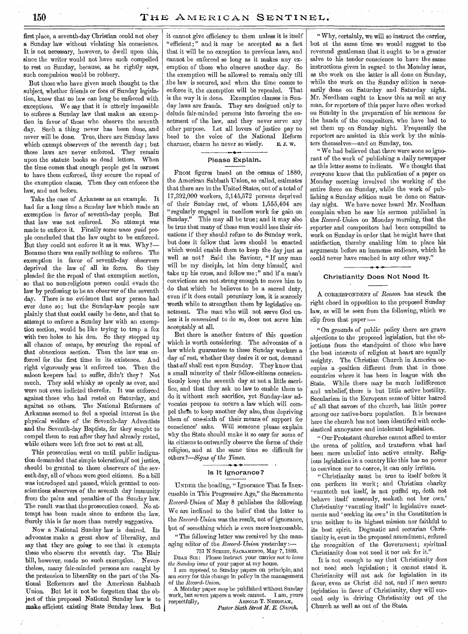first place, a seventh-day Christian could not obey a Sunday law without violating his conscience. It is not necessary, however, to dwell upon this, since the writer would not have such compelled to rest on Sunday, because, as he rightly says, such compulsion would be robbery.

But those who have given much thought to the subject, whether friends or foes of Sunday legislation, know that no law can long be enforced with exceptions. We say that it is utterly impossible to enforce a Sunday law that makes an exemption in favor of those who observe the seventh day. Such a thing never has been done, and never will be done. True, there are Sunday laws which exempt observers of the seventh day; but those laws are never enforced. They remain upon the statute books as dead letters. When the time comes that enough people get in earnest to have them enforced, they secure the repeal of the exemption clause. Then they can enforce the law, and not before.

Take the case of Arkansas as an example. It had for a long time a Sunday law which made an exemption in favor of seventh-day people. But that law was not enforced. No attempt was made to enforce it. Finally some *unto quid* people concluded that the law ought to be enforced. But they could not enforce it as it was. Why?— Because there was really nothing to enforce. The exemption in favor of seventh-day observers deprived the law of all its force. So they pleaded for the repeal of that exemption section, so that no non-religious person could evade the law by professing to be an observer of the seventh day. There is no evidence that any person had ever done so; but the Sunday-law people saw plainly that that could easily be done, and that to attempt to enforce a Sunday law with an exemption section, would be like trying to trap a fox with two holes to his den. So they stopped up all chance of escape, by securing the repeal of that obnoxious section. Then the law was enforced for the first time in its existence. And right vigorously was it enforced too. Then the saloon keepers had to suffer, didn't they ? Not much. They sold whisky as openly as ever, and were not even indicted therefor. It was enforced against those who had rested on Saturday, and against no others. The National Reformers of Arkansas seemed to feel a special interest in the physical welfare of the Seventh-day Adventists and the Seventh-day Baptists, for they sought to compel them to rest after they had already rested, while others were left free not to rest at all.

This prosecution went on until public indignation demanded that simple toleration,if not justice, should be granted to those observers of the seventh day, all of whom were good citizens. So a bill was introduced and passed, which granted to conscientious observers of the seventh day immunity from the pains and penalties of the Sunday law. The result was that the prosecution ceased. No attempt has been made since to enforce the law. Surely this is far more than merely suggestive.

Now a National Sunday law is desired. Its advocates make a great show of liberality, and say that they are going to see that it exempts those who observe the seventh day. The Blair bill, however, made no such exemption. Nevertheless, many fair-minded persons are caught by the pretension to liberality on the part of the National Reformers and the American Sabbath Union. But let it not be forgotten that the object of this proposed National Sunday law is to make efficient existing State Sunday laws. But

it cannot give efficiency to them unless it is itself "efficient;" and it may be accepted as a fact that it will be no exception to previous laws, and cannot be enforced so long as it makes any exemption of those who observe another day. So the exemption will be allowed to remain only till the law is secured, and when the time comes to enforce it, the exemption will be repealed. That is the way it is done. Exemption clauses in Sunday laws are frauds. They are designed only to delude fair-minded persons into favoring the enactment of the law, and they never serve any other purpose. Let all lovers of justice pay no heed to the voice of the National Reform charmer, charm he never so wisely. E. J. W.

### Please Explain.

FROM figures based on the census of 1880, the American Sabbath Union, so called, estimates that there are in the United States, out of a total of 17,392,000 workers, 3,145,572 persons deprived of their Sunday rest, of whom 1,555,404 are "regularly engaged in needless work for gain on Sunday." This may all be true ; and it may also be true that many of these men would lose their situations if they should refuse to do Sunday work, but does it follow that laws should be enacted which would enable them to keep the day just as well as not? Said the Saviour, "If any man will be my disciple, let him deny himself, and take up his cross, and follow me ;" and if a man's convictions are not strong enough to move him to do that which he believes to be a sacred duty, even if it does entail pecuniary loss, it is scarcely worth while to strengthen them by legislative enactment. The man who will not serve God unless it is *convenient* to do so, does not serve him acceptably at all.

But there is another feature of this question which is worth considering. The advocates of a law which guarantees to these Sunday workers a day of rest, whether they desire it or not, demand that *all* shall rest upon Sunday. They know that a small minority of their fellow-citizens conscientiously keep the seventh day at not a little sacrifice, and that they ask no law to enable them to do it without such sacrifice, yet Sunday-law advocates propose to secure a law which will compel them to keep another day also, thus depriving them of one-sixth of their means of support for conscience' sake. Will someone please explain why the State should make it so easy for some of its, citizens to outwardly observe the forms of their religion, and at the same time so difficult for others *?—Signs of the Times.*  1 0 0

### Is It Ignorance?

UNDER the heading, "Ignorance That Is Inexcusable in This Progressive Age," the Sacramento *Record- Union* of May 8 publishes the following. We are inclined to the belief that the letter to the *Record- Union* was the result, not of ignorance, but of something which is even more inexcusable.

"The following letter was received by the managing editor of the *Record- Union* yesterday :-

731 N STREET, SACRAMENTO, May 7, 1889. DEAR SIR : Please instruct your carrier *not to leave the Sunday issue* of your paper at my house.

I am opposed to Sunday papers on principle, and am sorry for this change in policy in the management of the *Record-Union.* 

A Monday paper *may* be published without Sunday work, but seven papers a week cannot.<br>respectfully,  $A$ RNOLD T. N ARNOLD T. NEEDHAM,

*Pastor Sixth Street M. E. Church.* 

" Why, certainly, we will so instruct the carrier, but at the same time we would suggest to the reverend gentleman that it ought to be a greater salve to his tender conscience to have the same instructions given in regard to the Monday issue, as the work on the latter is all done on Sunday, while the work on the Sunday edition is necessarily done on Saturday and Saturday night. Mr. Needham ought to know this as well as any man, for reporters of this paper have often worked on Sunday in the preparation of his sermons for the hands of the compositors, who have had to set them up on Sunday night. Frequently the reporters are assisted in this work by the ministers themselves—and on Sunday, too.

" We had believed that there were none so ignorant of the work of publishing a daily newspaper as this letter seems to indicate. We thought that evergone knew that the publication of a paper on Monday morning involved the working of the entire force on Sunday, while the work of publishing a Sunday edition must be done on Saturday night. We have never heard Mr. Needham complain when he saw his sermon published in the *Record-Union* on Monday morning, that the reporter and compositors had been compelled to work on Sunday in order that he might have that satisfaction, thereby enabling him to place his arguments before an immense audience, which he could never have reached in any other way."

### Christianity Does Not Need It.

A CORRESPONDENT Of *Reason* has struck the right chord in opposition to the proposed Sunday law, as will be seen from the following, which we clip from that paper :—

"On grounds of public policy there are grave objections to the proposed legislation, but the objections from the standpoint of those who have the best interests of religion at heart are equally weighty. The Christian Church in America occupies a position different from that in those countries where it has been in league with the State. While there may be much indifference and unbelief, there is but little active hostility. Secularism in the European sense of bitter hatred of all that savors of the church, has little power among our native-born population. It is because here the church has not been identified with ecclesiastical annoyance and intolerant legislation.

" Our Protestant churches cannot afford to enter the arena of politics, and transform what had been mere unbelief into active enmity. Religious legislation in a country like this has no power to convince nor to coerce, it can only irritate.

"Christianity must be true to itself before it can perform its work; and Christian charity 'vaunteth not itself, is not puffed up, doth not behave itself unseemly, seeketh not her own.' Christianity 'vaunting itself' in legislative enactments and 'seeking its own' in the Constitution is true neither to its highest mission nor faithful to its best spirit. Dogmatic and sectarian Christianity is, even in the proposed amendment, refused the recognition of the Government; spiritual Christianity does not need it nor ask for it."

It is not enough to say that Christianity does not need such legislation ; it cannot stand it. Christianity will not ask for legislation in its favor, even as Christ did not, and if men secura legislation in favor of Christianity, they will succeed only in driving Christianity out ,of the Church as well as out of the State.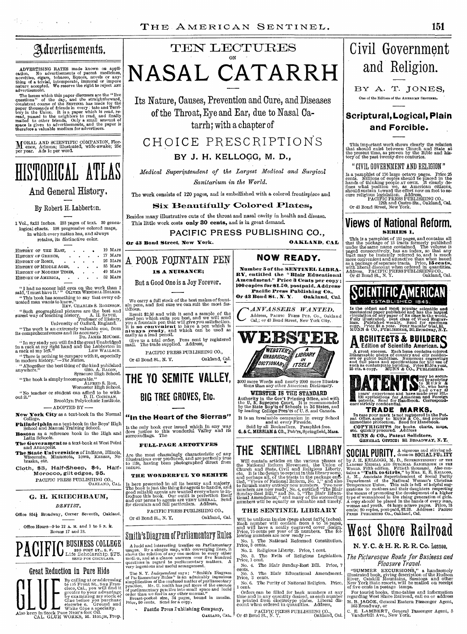## Advertisements.

特える しゅうしょう

ADVERTISING RATES made known on application. No advertisements of patent medicines, novelise, in novelise, class, tobacco, liquors, novels or any-<br>thing of a trivial, intemperate, immoral or impure nature accepted. We rese

The issues which this paper discusses are the "live<br>questions" of the day, and the straightforward,<br>consistent course of the SENTINEL has made for the<br>paper thousands of friends in every : tate and Terri-<br>tory in the Union

M ORAL AND SCIENTIFIC COMPANION, Flor-ence, Arizona; illustrated, wide-awake; 25c per year. Ads lc per word.

HISTORICAL ATLAS

And General History.

### By Robert H. Labberton,

**1** Vol., 8x11 inches. 213 pages of text. 30 genealogical charts. 198 progressive colored maps, in which every nation has, and always retains, its distinctive color.

|                                                                                            | Or 43 Bond Street, New York.     |
|--------------------------------------------------------------------------------------------|----------------------------------|
| 19 MAPS<br>HISTORY OF THE EAST, .<br>$\cdot$ $\cdot$ $\cdot$ 17 MAPS<br>HISTORY OF GREECE. |                                  |
| HISTORY OF ROME.                                                                           | 26 MAPS A POOR FOUNTAIN PEN      |
| 35 MAPS<br>HISTORY OF MIDDLE AGES,<br>49 MAPS<br>HISTORY OF MODERN TIMES.                  | <b>IS A NUISANCE:</b>            |
| $52$ MAPS<br>HISTORY OF AMERICA,                                                           | But a Good One is a Joy Forever. |

" I had no sooner laid eyes on the work than I said, 'I must have it.' " OLIVER WENDELL HOLMES. " This book has something to say that every ed-ucated man wants to know." REV. CIIARLES S. ROBINSON.

"Such geographical \_pictures are the best and surest way of teaching history. A. H. SAYCE, Professor of History, University of Oxford, England.

"The work is an extremely valuable one, from its comprehensiveness and its accuracy!' DR. JAMES MCCOSH.

" In my study you will find the great Unabridged in a rack at my right hand and the Labberton in a rack at my left.' LEW WALLACE.

" There is nothing to compare with it, especially in modern history."—*Tile* Nation.

" Altogether the best thing of the kind published anywhere." GEO. A. BACON, Syracuse High School.

" The book is simply incomparable." ALFRED S. ROE, Worcester High School.

"No teacher or student can afford to be with-out it." D. II. COCHRAN, Brooklyn Polytechnic Institute. — ADOPTED BY **—** 

**New York City** as a text-book in the Normal College.

**Philadelphia** as a text-book in the Boys' High School and Manual Training School. Boston as a reference book in the High and Latin Schools.

**The Government** as a text-book at West Point and Annapolis.

**The State Universities** of Indiana, Illinois, Wisconsin, Minnesota, Iowa, Kansas, Ne-braska, etc.

**Cloth, \$3, Half-Sheep, \$4, Half-Morocco, gilt** edges, \$5. PACIFIC PRESS PUBLISHING CO., OAKLAND, CAL.

### G. H. KRIECHBAUM, DENTIST,

Office 854} Broadway, Corner Seventh, Oakland.





## Great Reduction in Pure Hide



## TEN LECTURES ON **NASAL CATARRH**

Its Nature, Causes, Prevention and Cure, and Diseases of the Throat, Eye and Ear, due to Nasal Catarrh; with a chapter of

CHOICE PRESCRIPTIONS

### **BY J. H. KELLOGG, M. D.,**

*Medical Superintendent of the Largest Medical and Surgical Sanitarium in the World.* 

The work consists of 120 pages, and is embellished with a colored frontispiece and

### **Six Beautifully Colored Plates.**

Besides many illustrative cuts of the throat and nasal cavity in health and disease. This little work costs **only 30 cents,** and is in great demand.

**PACIFIC PRESS PUBLISHING CO.,** 

**Or 43 Bond Street, New York. OAKLAND, CAL** 

We carry a full stock of the best makes of fount-ain pens, and feel sure we can suit the most fas-tidious.

Remit \$2.50 and with it send a sample of the steel pen which suits you best, and we will score you a found in the synch pen that will give you satisfaction.<br>It is **so convenient** to have a pen which is **so convenient** to h

Give us a trial order. Pens sent by registered mail. The trade supplied. Address, PACIFIC PRESS PUBLISHING CO., Or 43 Bond St., N. Y. Qakland, Cal.

**THE YO SEMITE VALLEY,** 

**BIG TREE GROVES, Etc.** 

**"In the Heart of the Sierras"** 

Is the only book ever issued which in any way does justice to this wonderful Valley and its surroundings. The **FULL-PAGE AUTOTYPES** 

Are the most charmingly characteristic of any illustrations ever produced, and are perfectly true to life, having been photographed direct from nature.

**THE WONDERFUL YO SEMITE.** 

Is here presented in all its beauty and majesty.<br>The book is just the thing for agents to handle, and<br>good reliable agents are wanted everywhere to introduce this book. Our outfit is perfection itself<br>and our terms to agen

Smilli'sDiagram of Parliamentary Riles

A luckl and interesting treatise on Parliamentary<br>usages. By a simple map, with converging lines, it<br>shows the relation of any one motion to every other<br>motion, and at a glance answers over five hundred<br>questions in regard

The N. Y. *Independent* says: "Smith's Diagram of Parliamentary Rules" is an admirably ingenious insimplification of the contused natter of parliamentary practice. Mr. U. Smith has put more of the essence of parliamentary

Pacific Press Fublishing Company,

OAKLAND, CAL.

PACIFIC PRESS PUBLISHING CO., Or 43 Bond St., N. Y. Oakland, Cal.

### **NOW READY.**

**Number 5 of the SENTINEL LIBRA..**  RY, entitled the "Blair Educational **Amendment." Price 3 Cents per copy**; **100 copies for \$1.50,** postpaid. Address. Pacific Press Publishing Co.,<br>Bond St., N. Y. Oakland, Cal. Or 43 Bond St., N. Y.

*C* ANVASSERS WANTED. Address, PACIFIC PRESS PUB. Co., Oakland Cal,; or 43 Bond Street, New York City.



3000 more Words and nearly 2000 more Illustra-tions than any other American Dictionary. **WEBSTER IS** THE **STANDARD** 

**Authority** in the Gov't Printing Office, and with the U. S. **Supreme** Court. It is recommended by the State Sup'ts of Schools in 36 States, and by leading College Pres'ts of U. S. and Canada.

It is an invaluable companion in every School and at every Fireside. Sold by all Booksellers. Pamphlet free.

**G. & C. MERRIAM & CO.,** Pub'rs, Springfield, Mass.

## **THE SENTINEL LIBRARY**

Will contain articles on the various phases of the National Reform Movement, the Union of<br>Church and State, Civil and Religious Liberty,<br>etc. It is the design to reprint in this library some,<br>etc. It is the design to repri to furnish many entirely new numbers. Two new numbers are now ready, No. 4, entitled "The Blair Toman Supersional diversional diversional diversional diversional diversional diversional diversional diversional diversional

### **THE** SENTINEL LIBRARY

Will be uniform in size (page about 5x7 $\frac{1}{2}$  inches). Each number will contain from 8 to 56 pages, and will have a neatly engraved cover design. Price, 75 cents per year of 25 numbers. The following numbers are now re

No. 1. The National Reformed Constitution. Price, 3 cents. No. 2. Religious Liberty. Price, 1 cent.

No. 3. The Evils of Religious Legislation. Price, 1 cent.

No. 4. The Blair Sunday-Rest Bill. Price, 7

cents. No. 5. The Blair Educational Amendment. Price, 3 cents.

No. 6. The Purity of National Religion. Price, 1 cent.

Orders can be filled for back numbers at any time and- in any quantity desired, as each number is printed from electrotype plates. Liberal dis-count when ordered in quantities. Address,

PACIFIC PRESS PUBLISHING CO., Or 43 Bond St., N. Y. Oakland, Cal.

# Civil Government and Religion.

BY A. T. JONES, One of the Editors of the AMERICAN SENTINEL.

### **Scriptural, Logical, Plain and Forcible.**

This important work shows clearly the relation that should exist between Church and State at the present time, as proven by the Bible and his-tory of the past twenty-five centuries.

" CIVIL GOVERNMENT AND RELIGION "

Is a pamphlet of 176 large octavo pages. Price 25 cents. Millions of copies should be placed in the hands of thinking people AT oNCE. It clearly defines what position we, as American citizens, should sustain toward the eff

### **Views of National Reform. SERIES I.**

This is a pamphlet of 151 pages, and contains all<br>that the package of 18 tracts formerly published<br>under the same name contained. The volume is<br>paged consecutively, has an index, so that any<br>tract may be instantly referre



Is the oldest and most popular scientific and<br>mechanical paper published and has the largest<br>circulation of any paper of its class in the world.<br>circulation of any paper of its class in the world.<br>hugs. Published weekly. S

## **A RCHITECTS & BUILDERS**

A great success. Each issue contains colored<br>ditinographic plates of country and city resident-<br>ces or public buildings. Numerous engravings<br>and full plans and specifications for the use of<br>such as contemplate building. P



IN CASE **MARKS.**<br>
In case your mark is not registered in the Pat-<br>
ent Office, apply to MUNN & Co., and procure<br>
immediate protection. Send for Handbook.<br> **etc.** quickly procured. Address

**MUNN & CO., Patent Solicitors,**  GENERAL OFFICE= 361 BROADWAY, N. **Y.** 

SOCIAL PURITY A vigorous and stirring ad-**SUGIFIC FURILLE CONSUMERED SET AND SUGGER AND SUGARWARY OF THE LARGEST LARGEST MESS TRUPART CONSUMED AND SUGGER AND SUGGER AND SOLUTION AND SUGGER AND SOLUTION AND SOLUTION AND SCHEME AND SOLUTION DEPArtment of Social Pur** 

# West Shore Railroad

### **N. Y.** C. & H. R. R. R. Co. Lessee,

The Picturesque Route for Business and Pleasure Travel.

"SUMMER EXCURSIONS," a handsomely illustrated book, giving description of the Hudson River, Catskill Mountains, Saratoga and other New York State resorts, will be mailed on receipt of five cents in postage tamps,

For tourist books, time-tables and information regarding West Shore Railroad, call on or address H. B. JAGOE, General Eastern Passenger Agent, 363 Broadway, or

C. E LAMBERT, General Passenger Agent, 5 Vanderbilt Ave., New York.